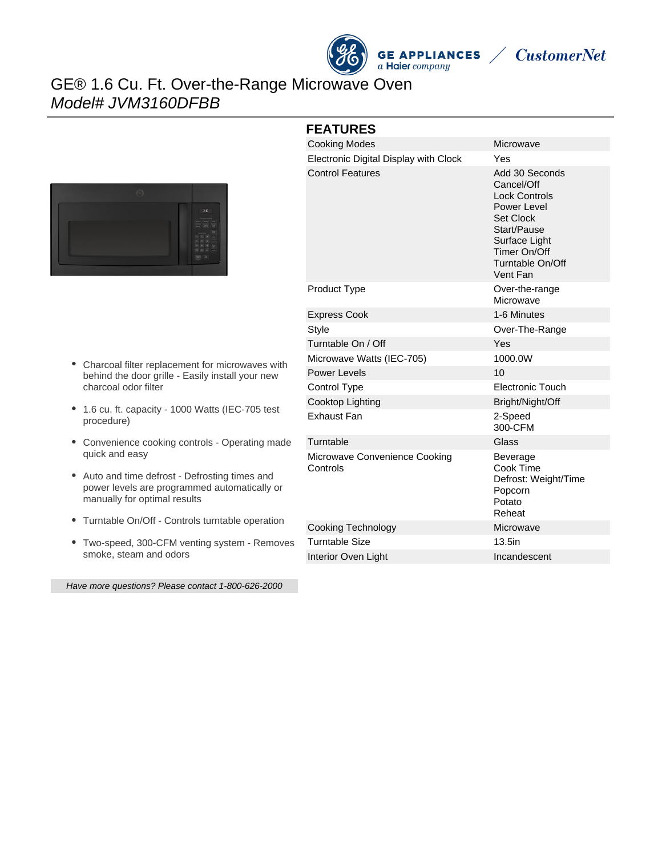

**CustomerNet** 

# GE® 1.6 Cu. Ft. Over-the-Range Microwave Oven Model# JVM3160DFBB



- Charcoal filter replacement for microwaves with behind the door grille - Easily install your new charcoal odor filter
- 1.6 cu. ft. capacity 1000 Watts (IEC-705 test procedure)
- Convenience cooking controls Operating made quick and easy
- Auto and time defrost Defrosting times and power levels are programmed automatically or manually for optimal results
- Turntable On/Off Controls turntable operation
- Two-speed, 300-CFM venting system Removes smoke, steam and odors

Have more questions? Please contact 1-800-626-2000

| <b>FEATURES</b>                           |                                                                                                                                                                         |
|-------------------------------------------|-------------------------------------------------------------------------------------------------------------------------------------------------------------------------|
| <b>Cooking Modes</b>                      | Microwave                                                                                                                                                               |
| Electronic Digital Display with Clock     | Yes                                                                                                                                                                     |
| <b>Control Features</b>                   | Add 30 Seconds<br>Cancel/Off<br><b>Lock Controls</b><br>Power Level<br><b>Set Clock</b><br>Start/Pause<br>Surface Light<br>Timer On/Off<br>Turntable On/Off<br>Vent Fan |
| Product Type                              | Over-the-range<br>Microwave                                                                                                                                             |
| <b>Express Cook</b>                       | 1-6 Minutes                                                                                                                                                             |
| Style                                     | Over-The-Range                                                                                                                                                          |
| Turntable On / Off                        | Yes                                                                                                                                                                     |
| Microwave Watts (IEC-705)                 | 1000.0W                                                                                                                                                                 |
| Power Levels                              | 10                                                                                                                                                                      |
| Control Type                              | Electronic Touch                                                                                                                                                        |
| Cooktop Lighting                          | Bright/Night/Off                                                                                                                                                        |
| <b>Exhaust Fan</b>                        | 2-Speed<br>300-CFM                                                                                                                                                      |
| Turntable                                 | Glass                                                                                                                                                                   |
| Microwave Convenience Cooking<br>Controls | Beverage<br>Cook Time<br>Defrost: Weight/Time<br>Popcorn<br>Potato<br>Reheat                                                                                            |
| Cooking Technology                        | Microwave                                                                                                                                                               |
| Turntable Size                            | 13.5in                                                                                                                                                                  |
| Interior Oven Light                       | Incandescent                                                                                                                                                            |